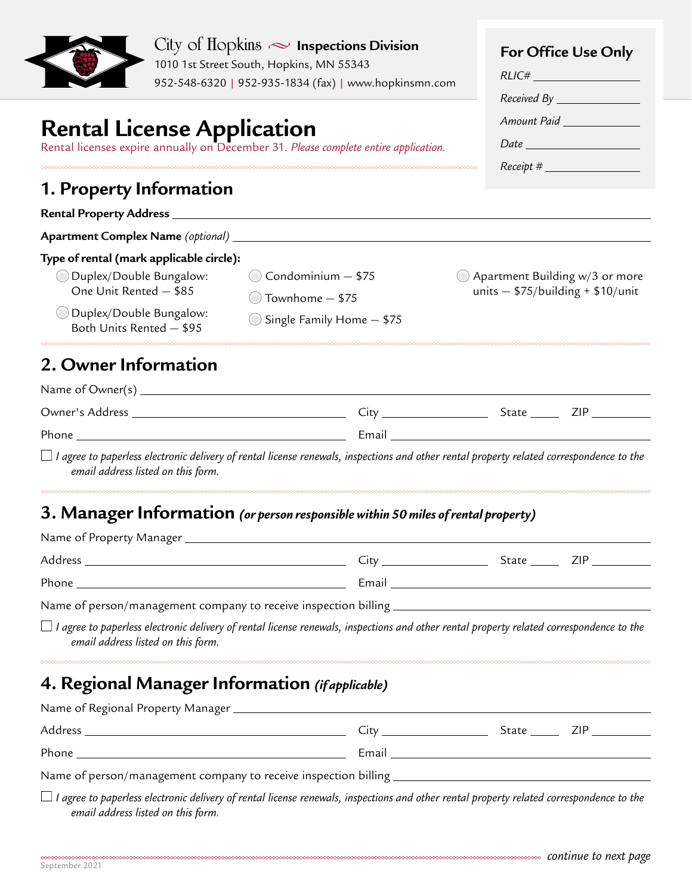|                                                                                                                                                        | $City$ of $Hopkins \sim$ Inspections Division<br>1010 1st Street South, Hopkins, MN 55343<br>952-548-6320   952-935-1834 (fax)   www.hopkinsmn.com | For Office Use Only<br>RLIC#<br>$Received By _______$                            |
|--------------------------------------------------------------------------------------------------------------------------------------------------------|----------------------------------------------------------------------------------------------------------------------------------------------------|----------------------------------------------------------------------------------|
| Rental License Application<br>Rental licenses expire annually on December 31. Please complete entire application.<br>0000000000000000000000000000      |                                                                                                                                                    | Amount Paid<br>$Date$ $\qquad \qquad$<br>$Receipt \#$                            |
| 1. Property Information                                                                                                                                |                                                                                                                                                    |                                                                                  |
| Rental Property Address _________                                                                                                                      |                                                                                                                                                    |                                                                                  |
| Apartment Complex Name (optional) _                                                                                                                    |                                                                                                                                                    |                                                                                  |
| Type of rental (mark applicable circle):<br>ODuplex/Double Bungalow:<br>One Unit Rented - \$85<br>ODuplex/Double Bungalow:<br>Both Units Rented - \$95 | $\bigcirc$ Condominium $-$ \$75<br>$\bigcirc$ Townhome $-$ \$75<br>Single Family Home - \$75                                                       | $\bigcirc$ Apartment Building w/3 or more<br>units $-$ \$75/building + \$10/unit |
| <b>2. Owner Information</b>                                                                                                                            |                                                                                                                                                    |                                                                                  |
|                                                                                                                                                        |                                                                                                                                                    |                                                                                  |
|                                                                                                                                                        |                                                                                                                                                    |                                                                                  |
|                                                                                                                                                        |                                                                                                                                                    |                                                                                  |
| email address listed on this form.                                                                                                                     | $\Box$ I agree to paperless electronic delivery of rental license renewals, inspections and other rental property related correspondence to the    |                                                                                  |
|                                                                                                                                                        | 3. Manager Information (or person responsible within 50 miles of rental property)                                                                  |                                                                                  |
|                                                                                                                                                        |                                                                                                                                                    |                                                                                  |
|                                                                                                                                                        |                                                                                                                                                    |                                                                                  |
|                                                                                                                                                        |                                                                                                                                                    |                                                                                  |
| email address listed on this form.                                                                                                                     | $\Box$ I agree to paperless electronic delivery of rental license renewals, inspections and other rental property related correspondence to the    |                                                                                  |
| 4. Regional Manager Information (ifapplicable)                                                                                                         |                                                                                                                                                    |                                                                                  |
|                                                                                                                                                        |                                                                                                                                                    |                                                                                  |
|                                                                                                                                                        |                                                                                                                                                    |                                                                                  |
|                                                                                                                                                        |                                                                                                                                                    |                                                                                  |
| email address listed on this form.                                                                                                                     | $\Box$ I agree to paperless electronic delivery of rental license renewals, inspections and other rental property related correspondence to the    |                                                                                  |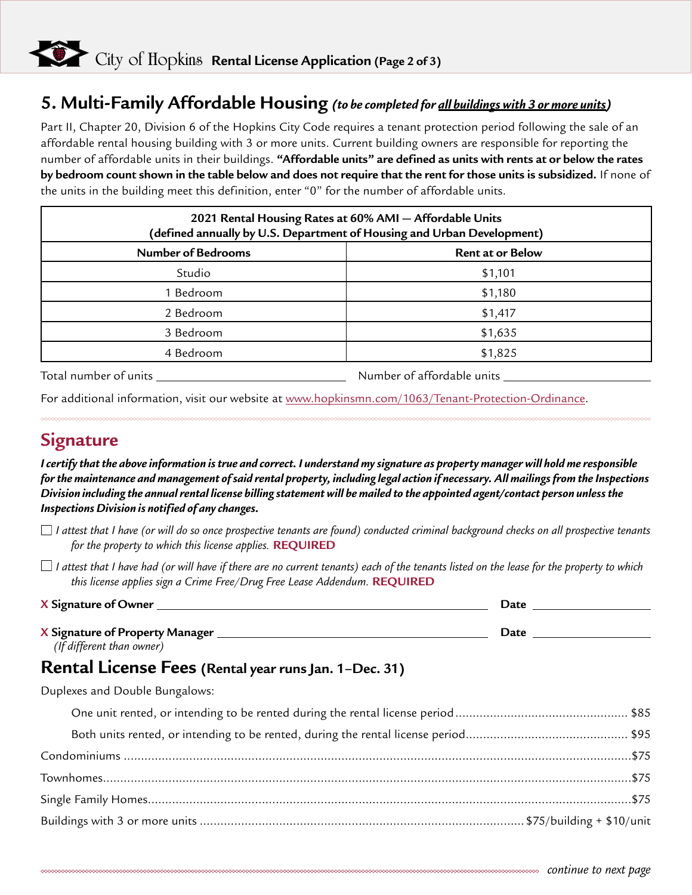### **5. Multi-Family Affordable Housing** *(to be completed for all buildings with 3 or more units)*

Part II, Chapter 20, Division 6 of the Hopkins City Code requires a tenant protection period following the sale of an affordable rental housing building with 3 or more units. Current building owners are responsible for reporting the number of affordable units in their buildings. **"Affordable units" are defined as units with rents at or below the rates by bedroom count shown in the table below and does not require that the rent for those units is subsidized.** If none of the units in the building meet this definition, enter "0" for the number of affordable units.

| 2021 Rental Housing Rates at 60% AMI - Affordable Units<br>(defined annually by U.S. Department of Housing and Urban Development) |                         |  |
|-----------------------------------------------------------------------------------------------------------------------------------|-------------------------|--|
| <b>Number of Bedrooms</b>                                                                                                         | <b>Rent at or Below</b> |  |
| Studio                                                                                                                            | \$1,101                 |  |
| I Bedroom                                                                                                                         | \$1,180                 |  |
| 2 Bedroom                                                                                                                         | \$1,417                 |  |
| 3 Bedroom                                                                                                                         | \$1,635                 |  |
| 4 Bedroom                                                                                                                         | \$1,825                 |  |

Total number of units Number of affordable units

For additional information, visit our website at [www.hopkinsmn.com/1063/Tenant-Protection-Ordinance.](http://www.hopkinsmn.com/1063/Tenant-Protection-Ordinance)

### **Signature**

*I certify that the above information is true and correct. I understand my signature as property manager will hold me responsible for the maintenance and management of said rental property, including legal action if necessary. All mailings from the Inspections Division including the annual rental license billing statement will be mailed to the appointed agent/contact person unless the Inspections Division is notified of any changes.*

*I attest that I have (or will do so once prospective tenants are found) conducted criminal background checks on all prospective tenants for the property to which this license applies.* **REQUIRED**

 $\Box$  I attest that I have had (or will have if there are no current tenants) each of the tenants listed on the lease for the property to which *this license applies sign a Crime Free/Drug Free Lease Addendum.* **REQUIRED**

| X Signature of Owner            | Date |
|---------------------------------|------|
|                                 |      |
| X Signature of Property Manager | Date |
| (If different than owner)       |      |

#### **Rental License Fees (Rental year runs Jan. 1–Dec. 31)**

Duplexes and Double Bungalows: